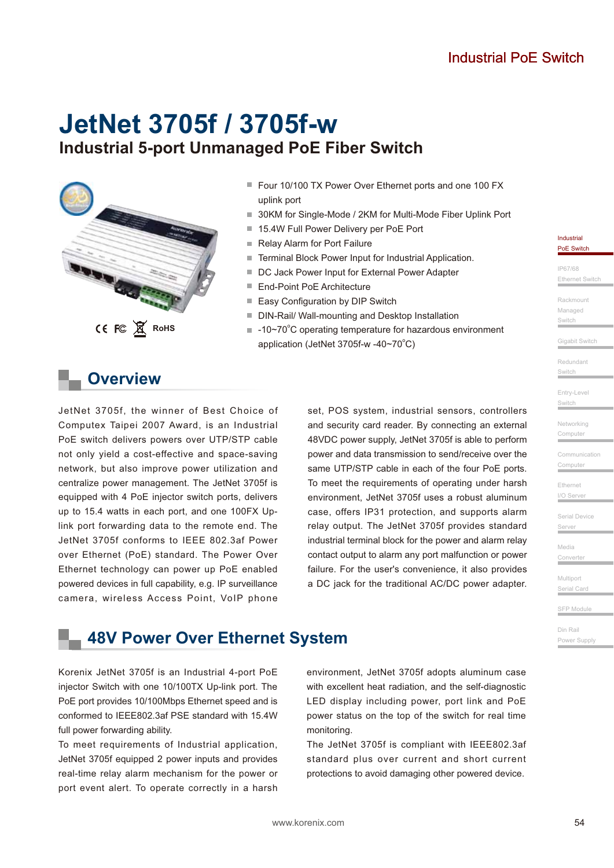# **Industrial 5-port Unmanaged PoE Fiber Switch JetNet 3705f / 3705f-w**



- Four 10/100 TX Power Over Ethernet ports and one 100 FX uplink port
- 30KM for Single-Mode / 2KM for Multi-Mode Fiber Uplink Port
- 15.4W Full Power Delivery per PoE Port
- Relay Alarm for Port Failure
- Terminal Block Power Input for Industrial Application.
- DC Jack Power Input for External Power Adapter
- End-Point PoE Architecture
- Easy Configuration by DIP Switch
- DIN-Rail/ Wall-mounting and Desktop Installation
- -10~70°C operating temperature for hazardous environment application (JetNet 3705f-w -40~70°C)

### **Overview**

JetNet 3705f, the winner of Best Choice of Computex Taipei 2007 Award, is an Industrial PoE switch delivers powers over UTP/STP cable not only yield a cost-effective and space-saving network, but also improve power utilization and centralize power management. The JetNet 3705f is equipped with 4 PoE injector switch ports, delivers up to 15.4 watts in each port, and one 100FX Uplink port forwarding data to the remote end. The JetNet 3705f conforms to IEEE 802.3af Power over Ethernet (PoE) standard. The Power Over Ethernet technology can power up PoE enabled powered devices in full capability, e.g. IP surveillance camera, wireless Access Point, VoIP phone set, POS system, industrial sensors, controllers and security card reader. By connecting an external 48VDC power supply, JetNet 3705f is able to perform power and data transmission to send/receive over the same UTP/STP cable in each of the four PoE ports. To meet the requirements of operating under harsh environment, JetNet 3705f uses a robust aluminum case, offers IP31 protection, and supports alarm relay output. The JetNet 3705f provides standard industrial terminal block for the power and alarm relay contact output to alarm any port malfunction or power failure. For the user's convenience, it also provides a DC jack for the traditional AC/DC power adapter.

### **48V Power Over Ethernet System**

Korenix JetNet 3705f is an Industrial 4-port PoE injector Switch with one 10/100TX Up-link port. The PoE port provides 10/100Mbps Ethernet speed and is conformed to IEEE802.3af PSE standard with 15.4W full power forwarding ability.

To meet requirements of Industrial application, JetNet 3705f equipped 2 power inputs and provides real-time relay alarm mechanism for the power or port event alert. To operate correctly in a harsh

environment, JetNet 3705f adopts aluminum case with excellent heat radiation, and the self-diagnostic LED display including power, port link and PoE power status on the top of the switch for real time monitoring.

The JetNet 3705f is compliant with IEEE802.3af standard plus over current and short current protections to avoid damaging other powered device.

Industria PoE Switch

IP67/68

Ethernet Switch

Rackmount Managed **Switch** 

Gigabit Switch

Entry-Level Switch

Switch

Networking

Computer Communication

Computer

Ethernet  $I/O$  Server

Serial Device

Server

Media

Converte

Multiport

Serial Card

SFP Module

Din Rail Power Supply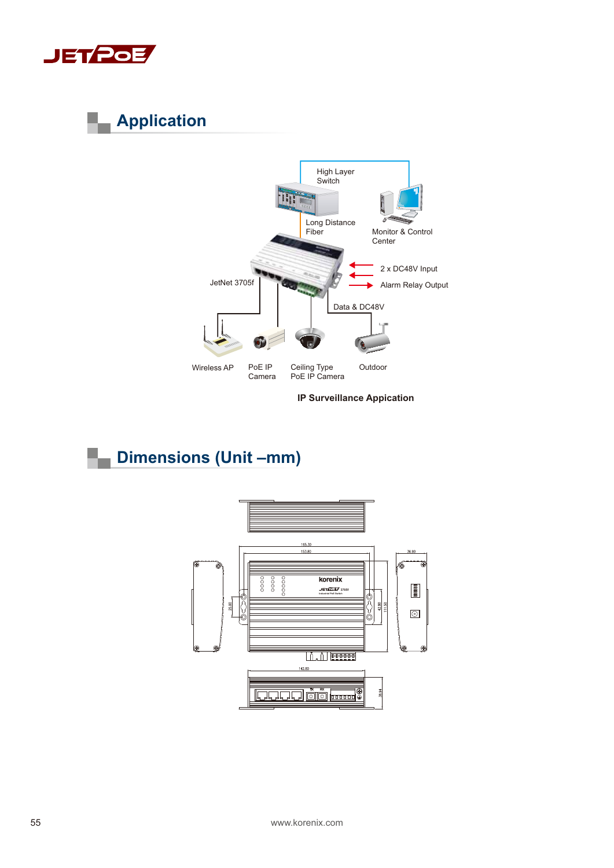

# **Application**



**IP Surveillance Appication** 

## **Dimensions (Unit –mm)**